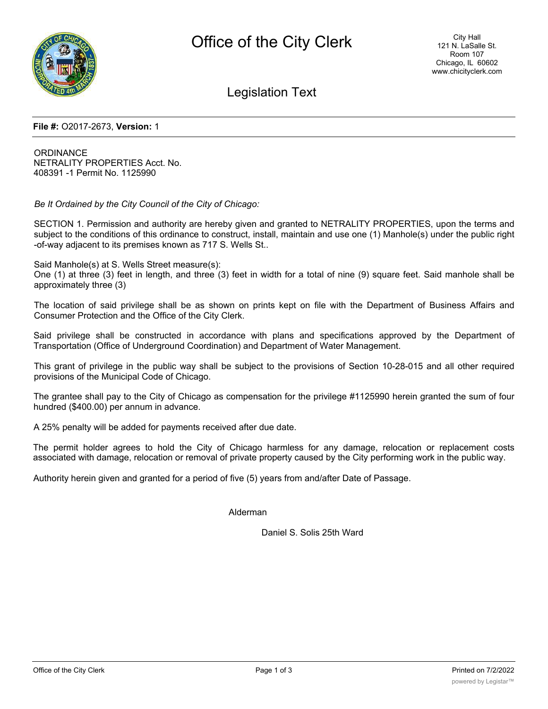

Legislation Text

## **File #:** O2017-2673, **Version:** 1

ORDINANCE NETRALITY PROPERTIES Acct. No. 408391 -1 Permit No. 1125990

*Be It Ordained by the City Council of the City of Chicago:*

SECTION 1. Permission and authority are hereby given and granted to NETRALITY PROPERTIES, upon the terms and subject to the conditions of this ordinance to construct, install, maintain and use one (1) Manhole(s) under the public right -of-way adjacent to its premises known as 717 S. Wells St..

Said Manhole(s) at S. Wells Street measure(s):

One (1) at three (3) feet in length, and three (3) feet in width for a total of nine (9) square feet. Said manhole shall be approximately three (3)

The location of said privilege shall be as shown on prints kept on file with the Department of Business Affairs and Consumer Protection and the Office of the City Clerk.

Said privilege shall be constructed in accordance with plans and specifications approved by the Department of Transportation (Office of Underground Coordination) and Department of Water Management.

This grant of privilege in the public way shall be subject to the provisions of Section 10-28-015 and all other required provisions of the Municipal Code of Chicago.

The grantee shall pay to the City of Chicago as compensation for the privilege #1125990 herein granted the sum of four hundred (\$400.00) per annum in advance.

A 25% penalty will be added for payments received after due date.

The permit holder agrees to hold the City of Chicago harmless for any damage, relocation or replacement costs associated with damage, relocation or removal of private property caused by the City performing work in the public way.

Authority herein given and granted for a period of five (5) years from and/after Date of Passage.

Alderman

Daniel S. Solis 25th Ward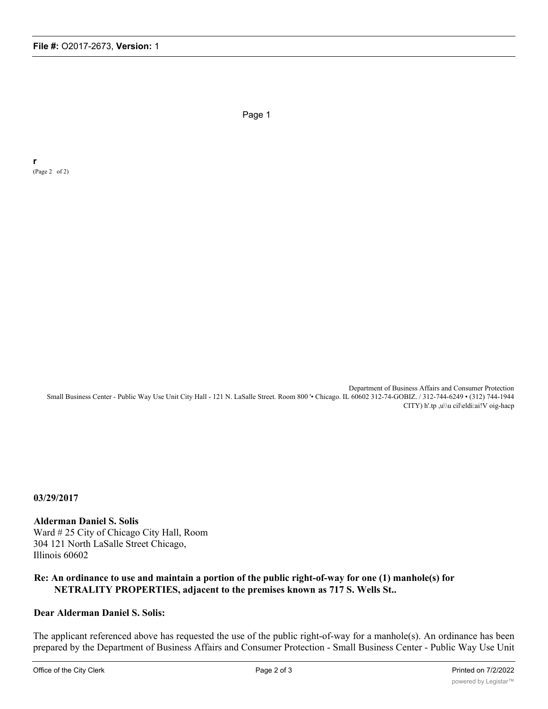Page 1

**r** (Page 2 of 2)

> Department of Business Affairs and Consumer Protection Small Business Center - Public Way Use Unit City Hall - 121 N. LaSalle Street. Room 800 '• Chicago. IL 60602 312-74-GOBIZ. / 312-744-6249 • (312) 744-1944 CITY) h'.tp ,u\\u cil\eldi:ai!V oig-hacp

**03/29/2017**

**Alderman Daniel S. Solis** Ward # 25 City of Chicago City Hall, Room 304 121 North LaSalle Street Chicago, Illinois 60602

## **Re: An ordinance to use and maintain a portion of the public right-of-way for one (1) manhole(s) for NETRALITY PROPERTIES, adjacent to the premises known as 717 S. Wells St..**

## **Dear Alderman Daniel S. Solis:**

The applicant referenced above has requested the use of the public right-of-way for a manhole(s). An ordinance has been prepared by the Department of Business Affairs and Consumer Protection - Small Business Center - Public Way Use Unit